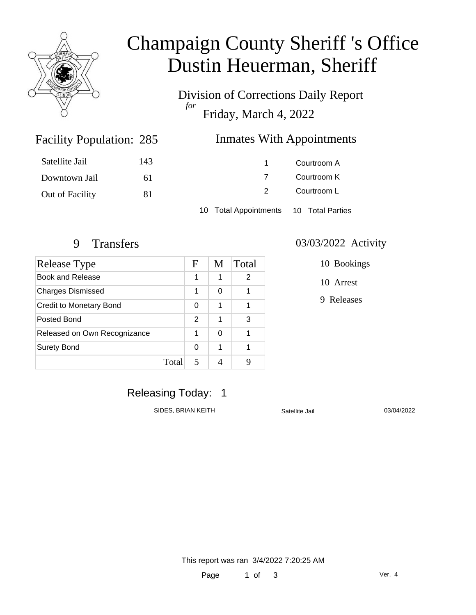

# Champaign County Sheriff 's Office Dustin Heuerman, Sheriff

Division of Corrections Daily Report *for* Friday, March 4, 2022

### **Inmates With Appointments**

| Satellite Jail  | 143 |                                        | Courtroom A |
|-----------------|-----|----------------------------------------|-------------|
| Downtown Jail   | 61  |                                        | Courtroom K |
| Out of Facility | 81  |                                        | Courtroom L |
|                 |     | 10 Total Appointments 10 Total Parties |             |

Facility Population: 285

| Release Type                   |       | F | M | Total |
|--------------------------------|-------|---|---|-------|
| Book and Release               |       | 1 | 1 | 2     |
| <b>Charges Dismissed</b>       |       | 1 | 0 |       |
| <b>Credit to Monetary Bond</b> |       | 0 | 1 |       |
| Posted Bond                    |       | 2 | 1 | 3     |
| Released on Own Recognizance   |       | 1 | 0 |       |
| <b>Surety Bond</b>             |       | 0 | 1 |       |
|                                | Total |   |   |       |

#### 9 Transfers 03/03/2022 Activity

10 Bookings

10 Arrest

9 Releases

#### Releasing Today: 1

SIDES, BRIAN KEITH Satellite Jail 3/04/2022

This report was ran 3/4/2022 7:20:25 AM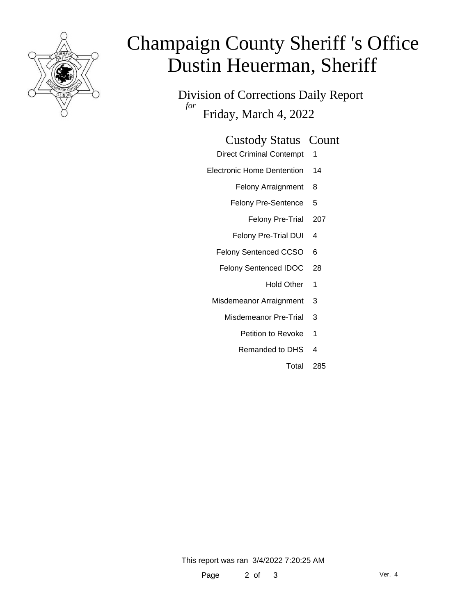

# Champaign County Sheriff 's Office Dustin Heuerman, Sheriff

Division of Corrections Daily Report *for* Friday, March 4, 2022

| <b>Custody Status Count</b> |  |
|-----------------------------|--|
| Direct Criminal Contempt 1  |  |

- Electronic Home Dentention 14
	- Felony Arraignment 8
	- Felony Pre-Sentence 5
		- Felony Pre-Trial 207
	- Felony Pre-Trial DUI 4
	- Felony Sentenced CCSO 6
	- Felony Sentenced IDOC 28
		- Hold Other 1
	- Misdemeanor Arraignment 3
		- Misdemeanor Pre-Trial 3
			- Petition to Revoke 1
			- Remanded to DHS 4
				- Total 285

This report was ran 3/4/2022 7:20:25 AM